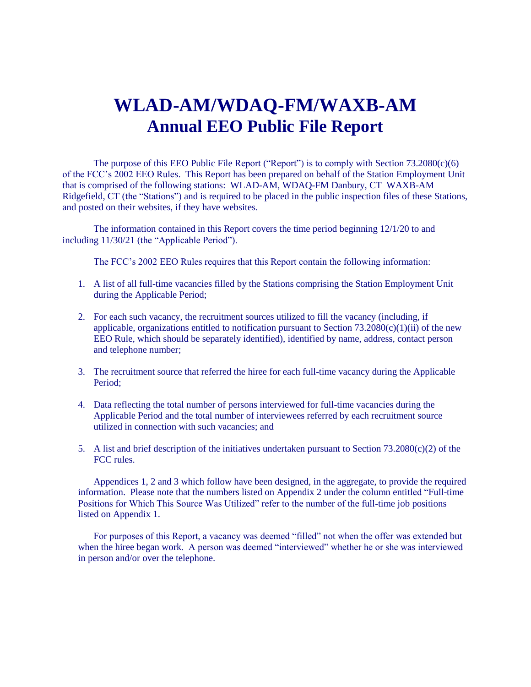# **WLAD-AM/WDAQ-FM/WAXB-AM Annual EEO Public File Report**

The purpose of this EEO Public File Report ("Report") is to comply with Section 73.2080(c)(6) of the FCC's 2002 EEO Rules. This Report has been prepared on behalf of the Station Employment Unit that is comprised of the following stations: WLAD-AM, WDAQ-FM Danbury, CT WAXB-AM Ridgefield, CT (the "Stations") and is required to be placed in the public inspection files of these Stations, and posted on their websites, if they have websites.

The information contained in this Report covers the time period beginning 12/1/20 to and including 11/30/21 (the "Applicable Period").

The FCC's 2002 EEO Rules requires that this Report contain the following information:

- 1. A list of all full-time vacancies filled by the Stations comprising the Station Employment Unit during the Applicable Period;
- 2. For each such vacancy, the recruitment sources utilized to fill the vacancy (including, if applicable, organizations entitled to notification pursuant to Section  $73.2080(c)(1)(ii)$  of the new EEO Rule, which should be separately identified), identified by name, address, contact person and telephone number;
- 3. The recruitment source that referred the hiree for each full-time vacancy during the Applicable Period;
- 4. Data reflecting the total number of persons interviewed for full-time vacancies during the Applicable Period and the total number of interviewees referred by each recruitment source utilized in connection with such vacancies; and
- 5. A list and brief description of the initiatives undertaken pursuant to Section  $73.2080(c)(2)$  of the FCC rules.

Appendices 1, 2 and 3 which follow have been designed, in the aggregate, to provide the required information. Please note that the numbers listed on Appendix 2 under the column entitled "Full-time Positions for Which This Source Was Utilized" refer to the number of the full-time job positions listed on Appendix 1.

For purposes of this Report, a vacancy was deemed "filled" not when the offer was extended but when the hiree began work. A person was deemed "interviewed" whether he or she was interviewed in person and/or over the telephone.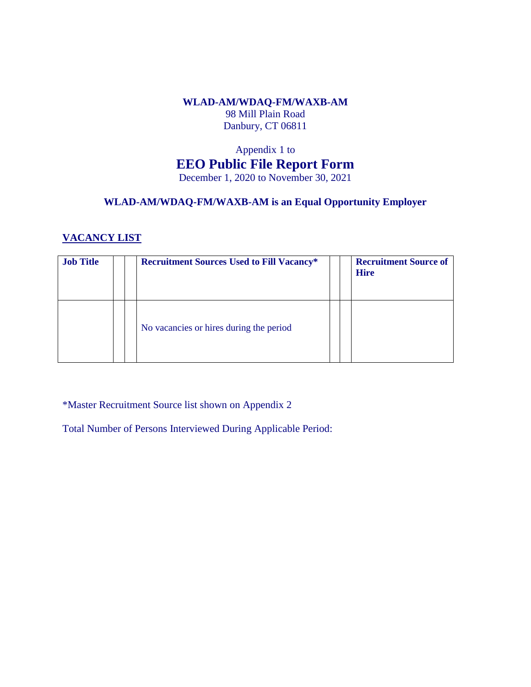# **WLAD-AM/WDAQ-FM/WAXB-AM** 98 Mill Plain Road Danbury, CT 06811

# Appendix 1 to **EEO Public File Report Form** December 1, 2020 to November 30, 2021

# **WLAD-AM/WDAQ-FM/WAXB-AM is an Equal Opportunity Employer**

# **VACANCY LIST**

| <b>Job Title</b> |  | <b>Recruitment Sources Used to Fill Vacancy*</b> |  | <b>Recruitment Source of</b><br><b>Hire</b> |
|------------------|--|--------------------------------------------------|--|---------------------------------------------|
|                  |  | No vacancies or hires during the period          |  |                                             |

\*Master Recruitment Source list shown on Appendix 2

Total Number of Persons Interviewed During Applicable Period: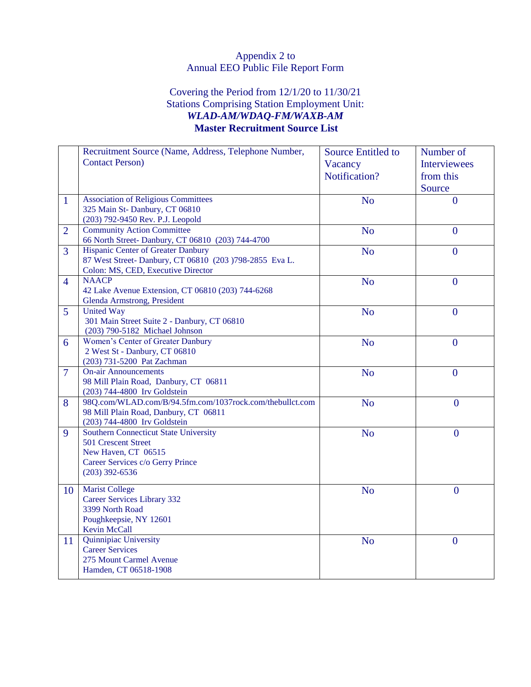# Appendix 2 to Annual EEO Public File Report Form

# Covering the Period from 12/1/20 to 11/30/21 Stations Comprising Station Employment Unit: *WLAD-AM/WDAQ-FM/WAXB-AM* **Master Recruitment Source List**

|                | Recruitment Source (Name, Address, Telephone Number,     | <b>Source Entitled to</b> | Number of           |
|----------------|----------------------------------------------------------|---------------------------|---------------------|
|                | <b>Contact Person</b> )                                  | Vacancy                   | <b>Interviewees</b> |
|                |                                                          | Notification?             | from this           |
|                |                                                          |                           |                     |
|                |                                                          |                           | Source              |
| $\mathbf{1}$   | <b>Association of Religious Committees</b>               | N <sub>o</sub>            | $\overline{0}$      |
|                | 325 Main St-Danbury, CT 06810                            |                           |                     |
|                | (203) 792-9450 Rev. P.J. Leopold                         |                           |                     |
| $\overline{2}$ | <b>Community Action Committee</b>                        | <b>No</b>                 | $\overline{0}$      |
|                | 66 North Street-Danbury, CT 06810 (203) 744-4700         |                           |                     |
| $\overline{3}$ | Hispanic Center of Greater Danbury                       | <b>No</b>                 | $\overline{0}$      |
|                | 87 West Street-Danbury, CT 06810 (203 )798-2855 Eva L.   |                           |                     |
|                | Colon: MS, CED, Executive Director                       |                           |                     |
| $\overline{4}$ | <b>NAACP</b>                                             | <b>No</b>                 | $\overline{0}$      |
|                | 42 Lake Avenue Extension, CT 06810 (203) 744-6268        |                           |                     |
|                | Glenda Armstrong, President                              |                           |                     |
| $\overline{5}$ | <b>United Way</b>                                        | <b>No</b>                 | $\overline{0}$      |
|                | 301 Main Street Suite 2 - Danbury, CT 06810              |                           |                     |
|                | (203) 790-5182 Michael Johnson                           |                           |                     |
| 6              | Women's Center of Greater Danbury                        | N <sub>o</sub>            | $\overline{0}$      |
|                | 2 West St - Danbury, CT 06810                            |                           |                     |
|                | (203) 731-5200 Pat Zachman                               |                           |                     |
| $\overline{7}$ | <b>On-air Announcements</b>                              | N <sub>o</sub>            | $\mathbf{0}$        |
|                | 98 Mill Plain Road, Danbury, CT 06811                    |                           |                     |
|                | (203) 744-4800 Irv Goldstein                             |                           |                     |
| 8              | 98Q.com/WLAD.com/B/94.5fm.com/1037rock.com/thebullct.com | <b>No</b>                 | $\overline{0}$      |
|                | 98 Mill Plain Road, Danbury, CT 06811                    |                           |                     |
|                | (203) 744-4800 Irv Goldstein                             |                           |                     |
| 9              | <b>Southern Connecticut State University</b>             | N <sub>o</sub>            | $\boldsymbol{0}$    |
|                | 501 Crescent Street                                      |                           |                     |
|                | New Haven, CT 06515                                      |                           |                     |
|                | Career Services c/o Gerry Prince                         |                           |                     |
|                | $(203)$ 392-6536                                         |                           |                     |
|                |                                                          |                           |                     |
| 10             | <b>Marist College</b>                                    | <b>No</b>                 | $\overline{0}$      |
|                | <b>Career Services Library 332</b>                       |                           |                     |
|                | 3399 North Road                                          |                           |                     |
|                | Poughkeepsie, NY 12601                                   |                           |                     |
|                | Kevin McCall                                             |                           |                     |
| 11             | Quinnipiac University                                    | N <sub>o</sub>            | $\boldsymbol{0}$    |
|                | <b>Career Services</b>                                   |                           |                     |
|                | 275 Mount Carmel Avenue                                  |                           |                     |
|                | Hamden, CT 06518-1908                                    |                           |                     |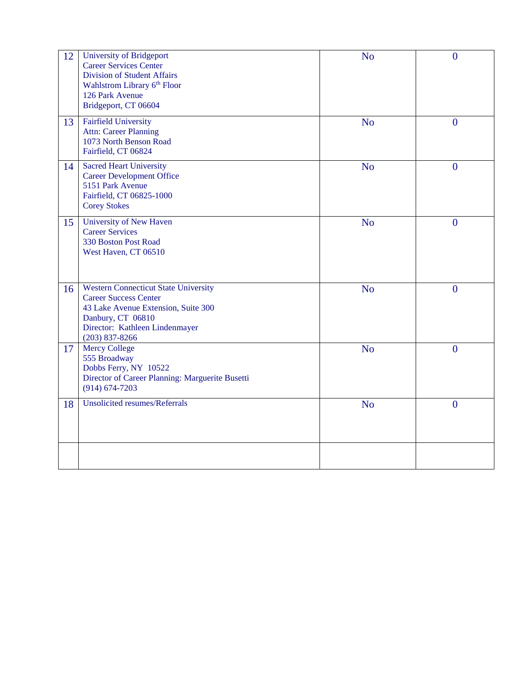| 12 | University of Bridgeport<br><b>Career Services Center</b><br><b>Division of Student Affairs</b><br>Wahlstrom Library 6th Floor<br>126 Park Avenue<br>Bridgeport, CT 06604                     | <b>No</b>      | $\mathbf{0}$     |
|----|-----------------------------------------------------------------------------------------------------------------------------------------------------------------------------------------------|----------------|------------------|
| 13 | <b>Fairfield University</b><br><b>Attn: Career Planning</b><br>1073 North Benson Road<br>Fairfield, CT 06824                                                                                  | N <sub>o</sub> | $\mathbf{0}$     |
| 14 | <b>Sacred Heart University</b><br><b>Career Development Office</b><br>5151 Park Avenue<br>Fairfield, CT 06825-1000<br><b>Corey Stokes</b>                                                     | N <sub>o</sub> | $\mathbf{0}$     |
| 15 | University of New Haven<br><b>Career Services</b><br>330 Boston Post Road<br>West Haven, CT 06510                                                                                             | N <sub>o</sub> | $\mathbf{0}$     |
| 16 | <b>Western Connecticut State University</b><br><b>Career Success Center</b><br>43 Lake Avenue Extension, Suite 300<br>Danbury, CT 06810<br>Director: Kathleen Lindenmayer<br>$(203)$ 837-8266 | N <sub>o</sub> | $\mathbf{0}$     |
| 17 | <b>Mercy College</b><br>555 Broadway<br>Dobbs Ferry, NY 10522<br>Director of Career Planning: Marguerite Busetti<br>$(914) 674 - 7203$                                                        | <b>No</b>      | $\mathbf{0}$     |
| 18 | <b>Unsolicited resumes/Referrals</b>                                                                                                                                                          | N <sub>o</sub> | $\boldsymbol{0}$ |
|    |                                                                                                                                                                                               |                |                  |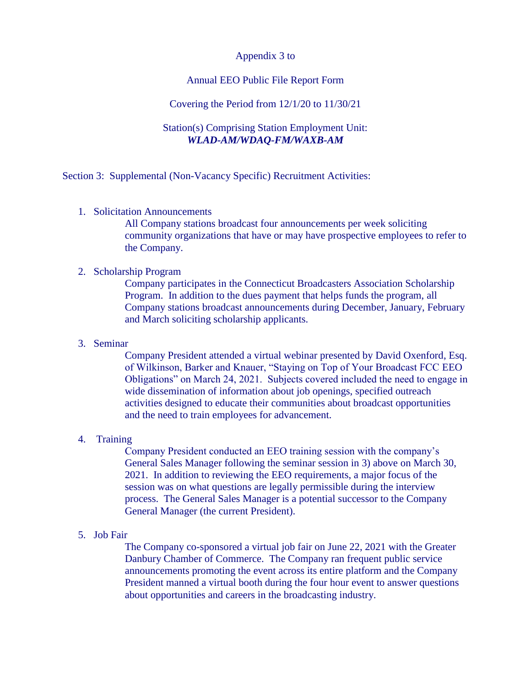## Appendix 3 to

## Annual EEO Public File Report Form

#### Covering the Period from 12/1/20 to 11/30/21

## Station(s) Comprising Station Employment Unit: *WLAD-AM/WDAQ-FM/WAXB-AM*

Section 3: Supplemental (Non-Vacancy Specific) Recruitment Activities:

1. Solicitation Announcements

All Company stations broadcast four announcements per week soliciting community organizations that have or may have prospective employees to refer to the Company.

# 2. Scholarship Program

Company participates in the Connecticut Broadcasters Association Scholarship Program. In addition to the dues payment that helps funds the program, all Company stations broadcast announcements during December, January, February and March soliciting scholarship applicants.

#### 3. Seminar

Company President attended a virtual webinar presented by David Oxenford, Esq. of Wilkinson, Barker and Knauer, "Staying on Top of Your Broadcast FCC EEO Obligations" on March 24, 2021. Subjects covered included the need to engage in wide dissemination of information about job openings, specified outreach activities designed to educate their communities about broadcast opportunities and the need to train employees for advancement.

#### 4. Training

Company President conducted an EEO training session with the company's General Sales Manager following the seminar session in 3) above on March 30, 2021. In addition to reviewing the EEO requirements, a major focus of the session was on what questions are legally permissible during the interview process. The General Sales Manager is a potential successor to the Company General Manager (the current President).

## 5. Job Fair

The Company co-sponsored a virtual job fair on June 22, 2021 with the Greater Danbury Chamber of Commerce. The Company ran frequent public service announcements promoting the event across its entire platform and the Company President manned a virtual booth during the four hour event to answer questions about opportunities and careers in the broadcasting industry.